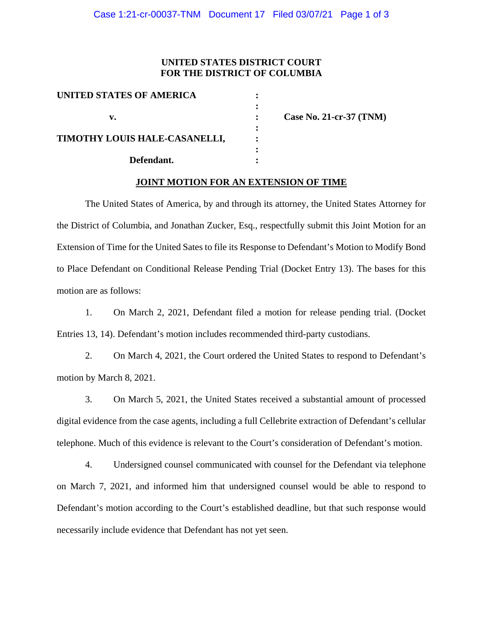## **UNITED STATES DISTRICT COURT FOR THE DISTRICT OF COLUMBIA**

**:** 

**:**

**:**

| UNITED STATES OF AMERICA      |  |
|-------------------------------|--|
| v.                            |  |
| TIMOTHY LOUIS HALE-CASANELLI, |  |
| Defendant.                    |  |

 **v. : Case No. 21-cr-37 (TNM)**

## **JOINT MOTION FOR AN EXTENSION OF TIME**

The United States of America, by and through its attorney, the United States Attorney for the District of Columbia, and Jonathan Zucker, Esq., respectfully submit this Joint Motion for an Extension of Time for the United Sates to file its Response to Defendant's Motion to Modify Bond to Place Defendant on Conditional Release Pending Trial (Docket Entry 13). The bases for this motion are as follows:

1. On March 2, 2021, Defendant filed a motion for release pending trial. (Docket Entries 13, 14). Defendant's motion includes recommended third-party custodians.

2. On March 4, 2021, the Court ordered the United States to respond to Defendant's motion by March 8, 2021.

3. On March 5, 2021, the United States received a substantial amount of processed digital evidence from the case agents, including a full Cellebrite extraction of Defendant's cellular telephone. Much of this evidence is relevant to the Court's consideration of Defendant's motion.

4. Undersigned counsel communicated with counsel for the Defendant via telephone on March 7, 2021, and informed him that undersigned counsel would be able to respond to Defendant's motion according to the Court's established deadline, but that such response would necessarily include evidence that Defendant has not yet seen.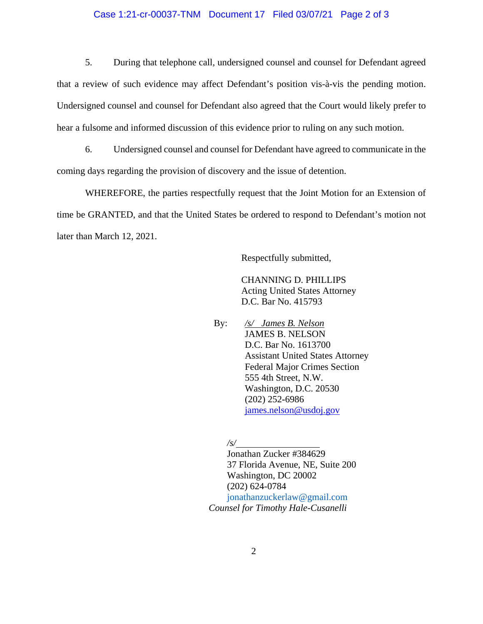## Case 1:21-cr-00037-TNM Document 17 Filed 03/07/21 Page 2 of 3

5. During that telephone call, undersigned counsel and counsel for Defendant agreed that a review of such evidence may affect Defendant's position vis-à-vis the pending motion. Undersigned counsel and counsel for Defendant also agreed that the Court would likely prefer to hear a fulsome and informed discussion of this evidence prior to ruling on any such motion.

6. Undersigned counsel and counsel for Defendant have agreed to communicate in the coming days regarding the provision of discovery and the issue of detention.

WHEREFORE, the parties respectfully request that the Joint Motion for an Extension of time be GRANTED, and that the United States be ordered to respond to Defendant's motion not later than March 12, 2021.

Respectfully submitted,

 CHANNING D. PHILLIPS Acting United States Attorney D.C. Bar No. 415793

 By: */s/ James B. Nelson* JAMES B. NELSON D.C. Bar No. 1613700 Assistant United States Attorney Federal Major Crimes Section 555 4th Street, N.W. Washington, D.C. 20530 (202) 252**-**6986 james.nelson@usdoj.gov

*/s/* 

Jonathan Zucker #384629 37 Florida Avenue, NE, Suite 200 Washington, DC 20002 (202) 624-0784 jonathanzuckerlaw@gmail.com  *Counsel for Timothy Hale-Cusanelli*